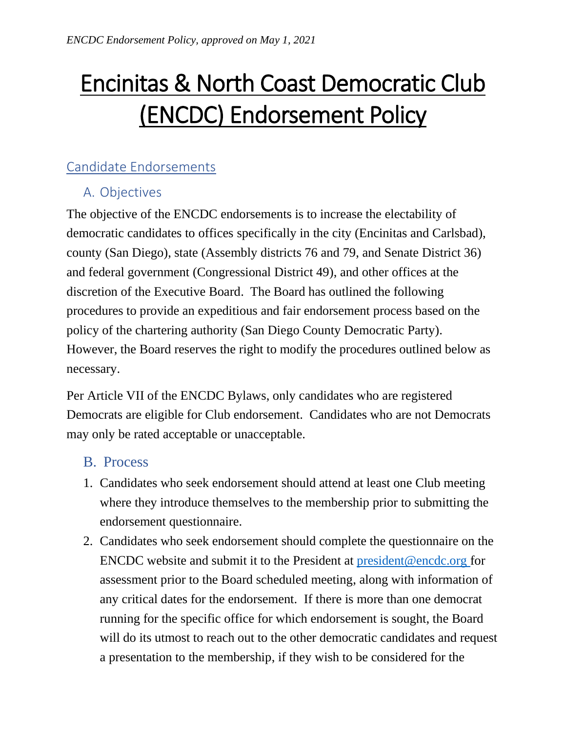# Encinitas & North Coast Democratic Club (ENCDC) Endorsement Policy

## Candidate Endorsements

## A. Objectives

The objective of the ENCDC endorsements is to increase the electability of democratic candidates to offices specifically in the city (Encinitas and Carlsbad), county (San Diego), state (Assembly districts 76 and 79, and Senate District 36) and federal government (Congressional District 49), and other offices at the discretion of the Executive Board. The Board has outlined the following procedures to provide an expeditious and fair endorsement process based on the policy of the chartering authority (San Diego County Democratic Party). However, the Board reserves the right to modify the procedures outlined below as necessary.

Per Article VII of the ENCDC Bylaws, only candidates who are registered Democrats are eligible for Club endorsement. Candidates who are not Democrats may only be rated acceptable or unacceptable.

#### B. Process

- 1. Candidates who seek endorsement should attend at least one Club meeting where they introduce themselves to the membership prior to submitting the endorsement questionnaire.
- 2. Candidates who seek endorsement should complete the questionnaire on the ENCDC website and submit it to the President at [president@encdc.org](mailto:president@encdc.org) for assessment prior to the Board scheduled meeting, along with information of any critical dates for the endorsement. If there is more than one democrat running for the specific office for which endorsement is sought, the Board will do its utmost to reach out to the other democratic candidates and request a presentation to the membership, if they wish to be considered for the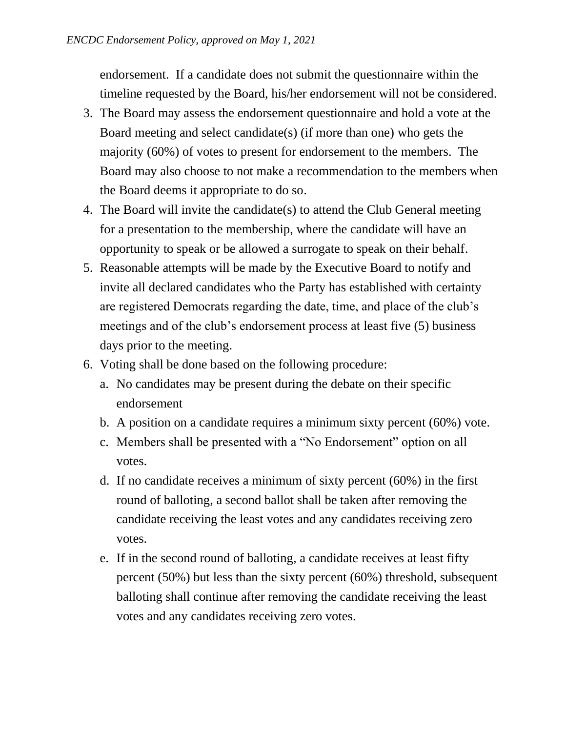endorsement. If a candidate does not submit the questionnaire within the timeline requested by the Board, his/her endorsement will not be considered.

- 3. The Board may assess the endorsement questionnaire and hold a vote at the Board meeting and select candidate(s) (if more than one) who gets the majority (60%) of votes to present for endorsement to the members. The Board may also choose to not make a recommendation to the members when the Board deems it appropriate to do so.
- 4. The Board will invite the candidate(s) to attend the Club General meeting for a presentation to the membership, where the candidate will have an opportunity to speak or be allowed a surrogate to speak on their behalf.
- 5. Reasonable attempts will be made by the Executive Board to notify and invite all declared candidates who the Party has established with certainty are registered Democrats regarding the date, time, and place of the club's meetings and of the club's endorsement process at least five (5) business days prior to the meeting.
- 6. Voting shall be done based on the following procedure:
	- a. No candidates may be present during the debate on their specific endorsement
	- b. A position on a candidate requires a minimum sixty percent (60%) vote.
	- c. Members shall be presented with a "No Endorsement" option on all votes.
	- d. If no candidate receives a minimum of sixty percent (60%) in the first round of balloting, a second ballot shall be taken after removing the candidate receiving the least votes and any candidates receiving zero votes.
	- e. If in the second round of balloting, a candidate receives at least fifty percent (50%) but less than the sixty percent (60%) threshold, subsequent balloting shall continue after removing the candidate receiving the least votes and any candidates receiving zero votes.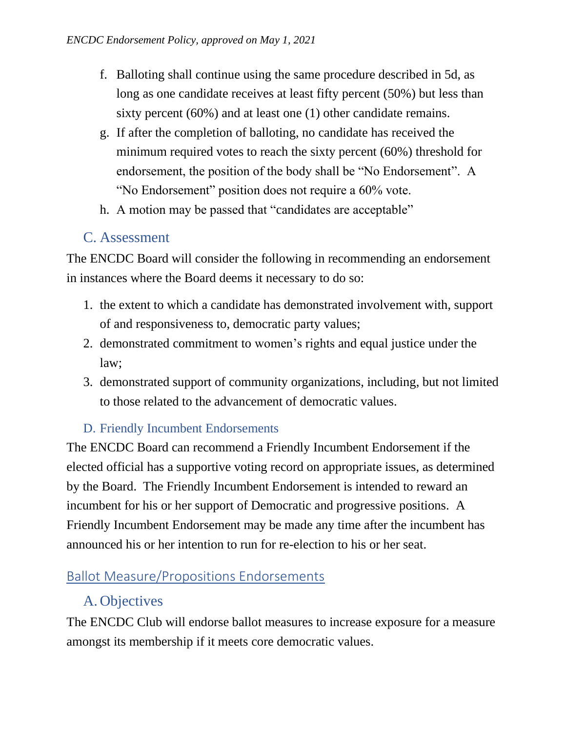- f. Balloting shall continue using the same procedure described in 5d, as long as one candidate receives at least fifty percent (50%) but less than sixty percent (60%) and at least one (1) other candidate remains.
- g. If after the completion of balloting, no candidate has received the minimum required votes to reach the sixty percent (60%) threshold for endorsement, the position of the body shall be "No Endorsement". A "No Endorsement" position does not require a 60% vote.
- h. A motion may be passed that "candidates are acceptable"

### C. Assessment

The ENCDC Board will consider the following in recommending an endorsement in instances where the Board deems it necessary to do so:

- 1. the extent to which a candidate has demonstrated involvement with, support of and responsiveness to, democratic party values;
- 2. demonstrated commitment to women's rights and equal justice under the law;
- 3. demonstrated support of community organizations, including, but not limited to those related to the advancement of democratic values.

#### D. Friendly Incumbent Endorsements

The ENCDC Board can recommend a Friendly Incumbent Endorsement if the elected official has a supportive voting record on appropriate issues, as determined by the Board. The Friendly Incumbent Endorsement is intended to reward an incumbent for his or her support of Democratic and progressive positions. A Friendly Incumbent Endorsement may be made any time after the incumbent has announced his or her intention to run for re-election to his or her seat.

## Ballot Measure/Propositions Endorsements

## A. Objectives

The ENCDC Club will endorse ballot measures to increase exposure for a measure amongst its membership if it meets core democratic values.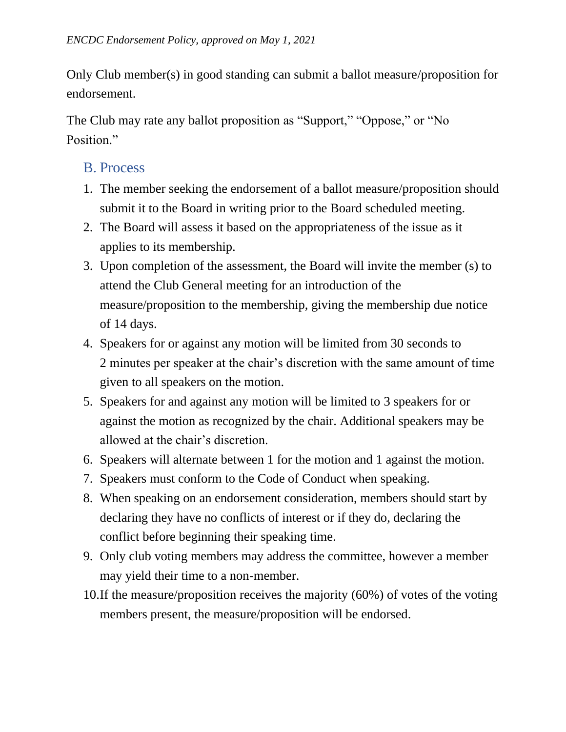Only Club member(s) in good standing can submit a ballot measure/proposition for endorsement.

The Club may rate any ballot proposition as "Support," "Oppose," or "No Position."

#### B. Process

- 1. The member seeking the endorsement of a ballot measure/proposition should submit it to the Board in writing prior to the Board scheduled meeting.
- 2. The Board will assess it based on the appropriateness of the issue as it applies to its membership.
- 3. Upon completion of the assessment, the Board will invite the member (s) to attend the Club General meeting for an introduction of the measure/proposition to the membership, giving the membership due notice of 14 days.
- 4. Speakers for or against any motion will be limited from 30 seconds to 2 minutes per speaker at the chair's discretion with the same amount of time given to all speakers on the motion.
- 5. Speakers for and against any motion will be limited to 3 speakers for or against the motion as recognized by the chair. Additional speakers may be allowed at the chair's discretion.
- 6. Speakers will alternate between 1 for the motion and 1 against the motion.
- 7. Speakers must conform to the Code of Conduct when speaking.
- 8. When speaking on an endorsement consideration, members should start by declaring they have no conflicts of interest or if they do, declaring the conflict before beginning their speaking time.
- 9. Only club voting members may address the committee, however a member may yield their time to a non-member.
- 10.If the measure/proposition receives the majority (60%) of votes of the voting members present, the measure/proposition will be endorsed.